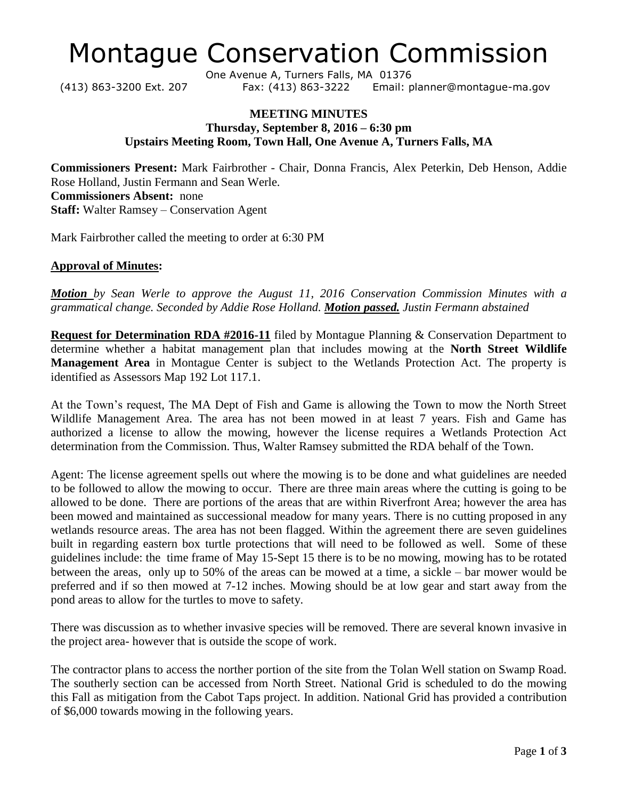# Montague Conservation Commission

One Avenue A, Turners Falls, MA 01376 (413) 863-3200 Ext. 207 Fax: (413) 863-3222 Email: planner@montague-ma.gov

## **MEETING MINUTES Thursday, September 8, 2016 – 6:30 pm Upstairs Meeting Room, Town Hall, One Avenue A, Turners Falls, MA**

**Commissioners Present:** Mark Fairbrother - Chair, Donna Francis, Alex Peterkin, Deb Henson, Addie Rose Holland, Justin Fermann and Sean Werle. **Commissioners Absent:** none **Staff:** Walter Ramsey – Conservation Agent

Mark Fairbrother called the meeting to order at 6:30 PM

## **Approval of Minutes:**

*Motion by Sean Werle to approve the August 11, 2016 Conservation Commission Minutes with a grammatical change. Seconded by Addie Rose Holland. Motion passed. Justin Fermann abstained*

**Request for Determination RDA #2016-11** filed by Montague Planning & Conservation Department to determine whether a habitat management plan that includes mowing at the **North Street Wildlife Management Area** in Montague Center is subject to the Wetlands Protection Act. The property is identified as Assessors Map 192 Lot 117.1.

At the Town's request, The MA Dept of Fish and Game is allowing the Town to mow the North Street Wildlife Management Area. The area has not been mowed in at least 7 years. Fish and Game has authorized a license to allow the mowing, however the license requires a Wetlands Protection Act determination from the Commission. Thus, Walter Ramsey submitted the RDA behalf of the Town.

Agent: The license agreement spells out where the mowing is to be done and what guidelines are needed to be followed to allow the mowing to occur. There are three main areas where the cutting is going to be allowed to be done. There are portions of the areas that are within Riverfront Area; however the area has been mowed and maintained as successional meadow for many years. There is no cutting proposed in any wetlands resource areas. The area has not been flagged. Within the agreement there are seven guidelines built in regarding eastern box turtle protections that will need to be followed as well. Some of these guidelines include: the time frame of May 15-Sept 15 there is to be no mowing, mowing has to be rotated between the areas, only up to 50% of the areas can be mowed at a time, a sickle – bar mower would be preferred and if so then mowed at 7-12 inches. Mowing should be at low gear and start away from the pond areas to allow for the turtles to move to safety.

There was discussion as to whether invasive species will be removed. There are several known invasive in the project area- however that is outside the scope of work.

The contractor plans to access the norther portion of the site from the Tolan Well station on Swamp Road. The southerly section can be accessed from North Street. National Grid is scheduled to do the mowing this Fall as mitigation from the Cabot Taps project. In addition. National Grid has provided a contribution of \$6,000 towards mowing in the following years.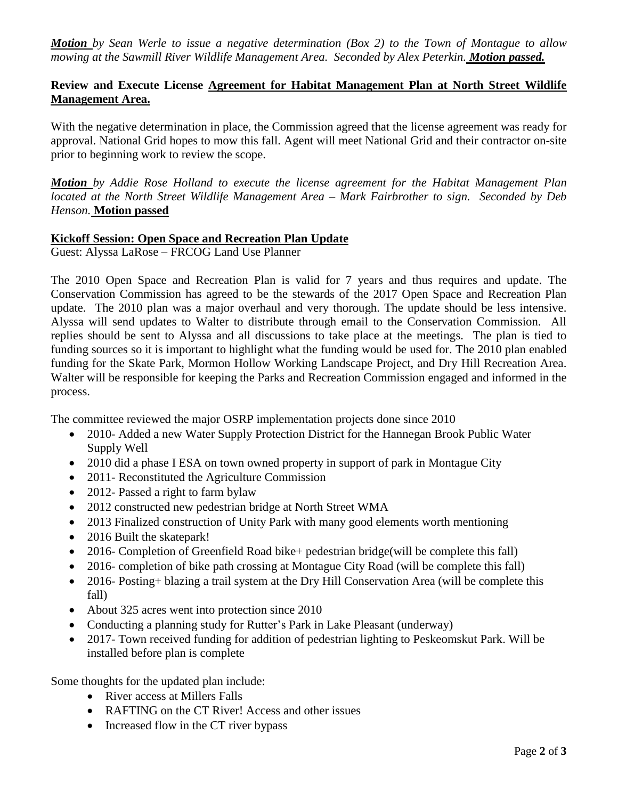*Motion by Sean Werle to issue a negative determination (Box 2) to the Town of Montague to allow mowing at the Sawmill River Wildlife Management Area. Seconded by Alex Peterkin. Motion passed.*

# **Review and Execute License Agreement for Habitat Management Plan at North Street Wildlife Management Area.**

With the negative determination in place, the Commission agreed that the license agreement was ready for approval. National Grid hopes to mow this fall. Agent will meet National Grid and their contractor on-site prior to beginning work to review the scope.

*Motion by Addie Rose Holland to execute the license agreement for the Habitat Management Plan located at the North Street Wildlife Management Area – Mark Fairbrother to sign. Seconded by Deb Henson.* **Motion passed**

## **Kickoff Session: Open Space and Recreation Plan Update**

Guest: Alyssa LaRose – FRCOG Land Use Planner

The 2010 Open Space and Recreation Plan is valid for 7 years and thus requires and update. The Conservation Commission has agreed to be the stewards of the 2017 Open Space and Recreation Plan update. The 2010 plan was a major overhaul and very thorough. The update should be less intensive. Alyssa will send updates to Walter to distribute through email to the Conservation Commission. All replies should be sent to Alyssa and all discussions to take place at the meetings. The plan is tied to funding sources so it is important to highlight what the funding would be used for. The 2010 plan enabled funding for the Skate Park, Mormon Hollow Working Landscape Project, and Dry Hill Recreation Area. Walter will be responsible for keeping the Parks and Recreation Commission engaged and informed in the process.

The committee reviewed the major OSRP implementation projects done since 2010

- 2010- Added a new Water Supply Protection District for the Hannegan Brook Public Water Supply Well
- 2010 did a phase I ESA on town owned property in support of park in Montague City
- 2011- Reconstituted the Agriculture Commission
- 2012- Passed a right to farm bylaw
- 2012 constructed new pedestrian bridge at North Street WMA
- 2013 Finalized construction of Unity Park with many good elements worth mentioning
- 2016 Built the skatepark!
- 2016- Completion of Greenfield Road bike+ pedestrian bridge(will be complete this fall)
- 2016- completion of bike path crossing at Montague City Road (will be complete this fall)
- 2016- Posting+ blazing a trail system at the Dry Hill Conservation Area (will be complete this fall)
- About 325 acres went into protection since 2010
- Conducting a planning study for Rutter's Park in Lake Pleasant (underway)
- 2017- Town received funding for addition of pedestrian lighting to Peskeomskut Park. Will be installed before plan is complete

Some thoughts for the updated plan include:

- River access at Millers Falls
- RAFTING on the CT River! Access and other issues
- Increased flow in the CT river bypass